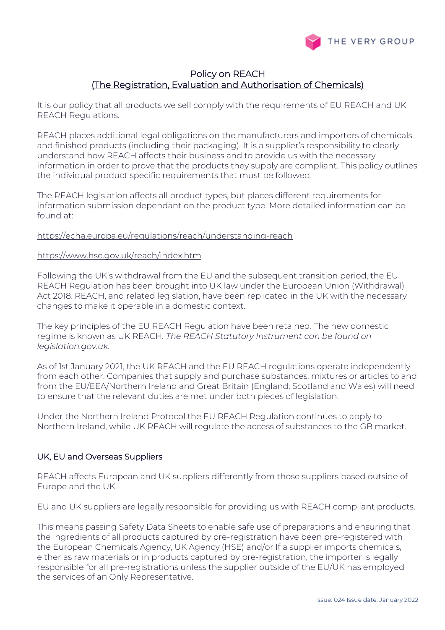

# Policy on REACH (The Registration, Evaluation and Authorisation of Chemicals)

It is our policy that all products we sell comply with the requirements of EU REACH and UK REACH Regulations.

REACH places additional legal obligations on the manufacturers and importers of chemicals and finished products (including their packaging). It is a supplier's responsibility to clearly understand how REACH affects their business and to provide us with the necessary information in order to prove that the products they supply are compliant. This policy outlines the individual product specific requirements that must be followed.

The REACH legislation affects all product types, but places different requirements for information submission dependant on the product type. More detailed information can be found at:

## <https://echa.europa.eu/regulations/reach/understanding-reach>

## <https://www.hse.gov.uk/reach/index.htm>

Following the UK's withdrawal from the EU and the subsequent transition period, the EU REACH Regulation has been brought into UK law under the European Union (Withdrawal) Act 2018. REACH, and related legislation, have been replicated in the UK with the necessary changes to make it operable in a domestic context.

The key principles of the EU REACH Regulation have been retained. The new domestic regime is known as UK REACH*. [The REACH Statutory Instrument can be found on](https://eur03.safelinks.protection.outlook.com/?url=https%3A%2F%2Fwww.legislation.gov.uk%2Fukdsi%2F2020%2F9780348213300%2Fintroduction&data=04%7C01%7C%7Ccaa7e0077fba47cbc81108d879d03346%7C6b5953be6b1d4980b26b56ed8b0bf3dc%7C0%7C0%7C637393282422749784%7CUnknown%7CTWFpbGZsb3d8eyJWIjoiMC4wLjAwMDAiLCJQIjoiV2luMzIiLCJBTiI6Ik1haWwiLCJXVCI6Mn0%3D%7C1000&sdata=cNF6G5MqcMh5lIqPfibFhBqmGtWc9NPR5KpcTWBoTKQ%3D&reserved=0)  [legislation.gov.uk.](https://eur03.safelinks.protection.outlook.com/?url=https%3A%2F%2Fwww.legislation.gov.uk%2Fukdsi%2F2020%2F9780348213300%2Fintroduction&data=04%7C01%7C%7Ccaa7e0077fba47cbc81108d879d03346%7C6b5953be6b1d4980b26b56ed8b0bf3dc%7C0%7C0%7C637393282422749784%7CUnknown%7CTWFpbGZsb3d8eyJWIjoiMC4wLjAwMDAiLCJQIjoiV2luMzIiLCJBTiI6Ik1haWwiLCJXVCI6Mn0%3D%7C1000&sdata=cNF6G5MqcMh5lIqPfibFhBqmGtWc9NPR5KpcTWBoTKQ%3D&reserved=0)*

As of 1st January 2021, the UK REACH and the EU REACH regulations operate independently from each other. Companies that supply and purchase substances, mixtures or articles to and from the EU/EEA/Northern Ireland and Great Britain (England, Scotland and Wales) will need to ensure that the relevant duties are met under both pieces of legislation.

Under the Northern Ireland Protocol the EU REACH Regulation continues to apply to Northern Ireland, while UK REACH will regulate the access of substances to the GB market.

## UK, EU and Overseas Suppliers

REACH affects European and UK suppliers differently from those suppliers based outside of Europe and the UK.

EU and UK suppliers are legally responsible for providing us with REACH compliant products.

This means passing Safety Data Sheets to enable safe use of preparations and ensuring that the ingredients of all products captured by pre-registration have been pre-registered with the European Chemicals Agency, UK Agency (HSE) and/or If a supplier imports chemicals, either as raw materials or in products captured by pre-registration, the importer is legally responsible for all pre-registrations unless the supplier outside of the EU/UK has employed the services of an Only Representative.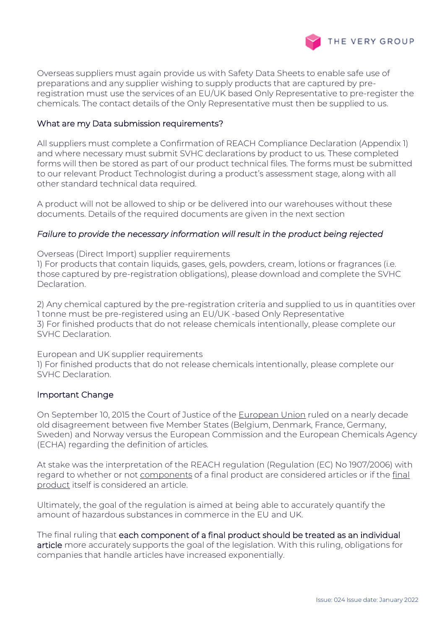

Overseas suppliers must again provide us with Safety Data Sheets to enable safe use of preparations and any supplier wishing to supply products that are captured by preregistration must use the services of an EU/UK based Only Representative to pre-register the chemicals. The contact details of the Only Representative must then be supplied to us.

# What are my Data submission requirements?

All suppliers must complete a Confirmation of REACH Compliance Declaration (Appendix 1) and where necessary must submit SVHC declarations by product to us. These completed forms will then be stored as part of our product technical files. The forms must be submitted to our relevant Product Technologist during a product's assessment stage, along with all other standard technical data required.

A product will not be allowed to ship or be delivered into our warehouses without these documents. Details of the required documents are given in the next section

## *Failure to provide the necessary information will result in the product being rejected*

Overseas (Direct Import) supplier requirements

1) For products that contain liquids, gases, gels, powders, cream, lotions or fragrances (i.e. those captured by pre-registration obligations), please download and complete the SVHC Declaration.

2) Any chemical captured by the pre-registration criteria and supplied to us in quantities over 1 tonne must be pre-registered using an EU/UK -based Only Representative 3) For finished products that do not release chemicals intentionally, please complete our SVHC Declaration.

European and UK supplier requirements

1) For finished products that do not release chemicals intentionally, please complete our SVHC Declaration.

## Important Change

On September 10, 2015 the Court of Justice of the [European Union](http://curia.europa.eu/juris/document/document.jsf;jsessionid=9ea7d2dc30dd1a92c1c875bb4d0882a6b4f10bc0486a.e34KaxiLc3qMb40Rch0SaxuRaxb0?text=&docid=167286&pageIndex=0&doclang=en&mode=req&dir=&occ=first&part=1&cid=1116251) ruled on a nearly decade old disagreement between five Member States (Belgium, Denmark, France, Germany, Sweden) and Norway versus the European Commission and the European Chemicals Agency (ECHA) regarding the definition of articles.

At stake was the interpretation of the REACH regulation (Regulation (EC) No 1907/2006) with regard to whether or not components of a final product are considered articles or if the final product itself is considered an article.

Ultimately, the goal of the regulation is aimed at being able to accurately quantify the amount of hazardous substances in commerce in the EU and UK.

The final ruling that each component of a final product should be treated as an individual article more accurately supports the goal of the legislation. With this ruling, obligations for companies that handle articles have increased exponentially.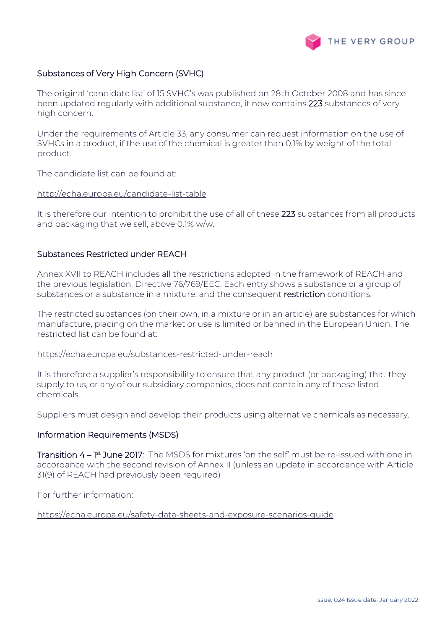

# Substances of Very High Concern (SVHC)

The original 'candidate list' of 15 SVHC's was published on 28th October 2008 and has since been updated regularly with additional substance, it now contains 223 substances of very high concern.

Under the requirements of Article 33, any consumer can request information on the use of SVHCs in a product, if the use of the chemical is greater than 0.1% by weight of the total product.

The candidate list can be found at:

# <http://echa.europa.eu/candidate-list-table>

It is therefore our intention to prohibit the use of all of these 223 substances from all products and packaging that we sell, above 0.1% w/w.

## Substances Restricted under REACH

Annex XVII to REACH includes all the restrictions adopted in the framework of REACH and the previous legislation, Directive 76/769/EEC. Each entry shows a substance or a group of substances or a substance in a mixture, and the consequent restriction conditions.

The restricted substances (on their own, in a mixture or in an article) are substances for which manufacture, placing on the market or use is limited or banned in the European Union. The restricted list can be found at:

### <https://echa.europa.eu/substances-restricted-under-reach>

It is therefore a supplier's responsibility to ensure that any product (or packaging) that they supply to us, or any of our subsidiary companies, does not contain any of these listed chemicals.

Suppliers must design and develop their products using alternative chemicals as necessary.

#### Information Requirements (MSDS)

**Transition 4 – 1st June 2017**: The MSDS for mixtures 'on the self' must be re-issued with one in accordance with the second revision of Annex II (unless an update in accordance with Article 31(9) of REACH had previously been required)

For further information:

<https://echa.europa.eu/safety-data-sheets-and-exposure-scenarios-guide>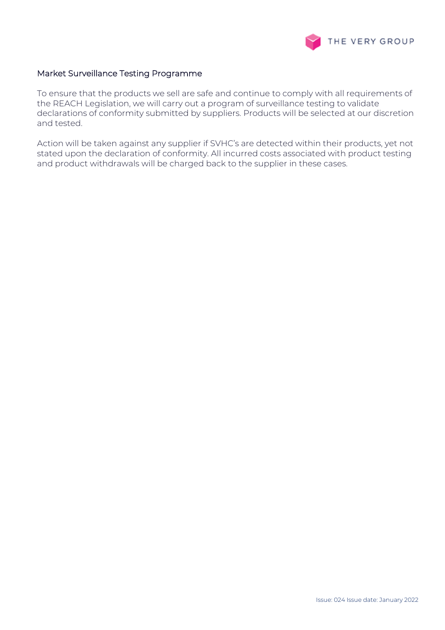

## Market Surveillance Testing Programme

To ensure that the products we sell are safe and continue to comply with all requirements of the REACH Legislation, we will carry out a program of surveillance testing to validate declarations of conformity submitted by suppliers. Products will be selected at our discretion and tested.

Action will be taken against any supplier if SVHC's are detected within their products, yet not stated upon the declaration of conformity. All incurred costs associated with product testing and product withdrawals will be charged back to the supplier in these cases.